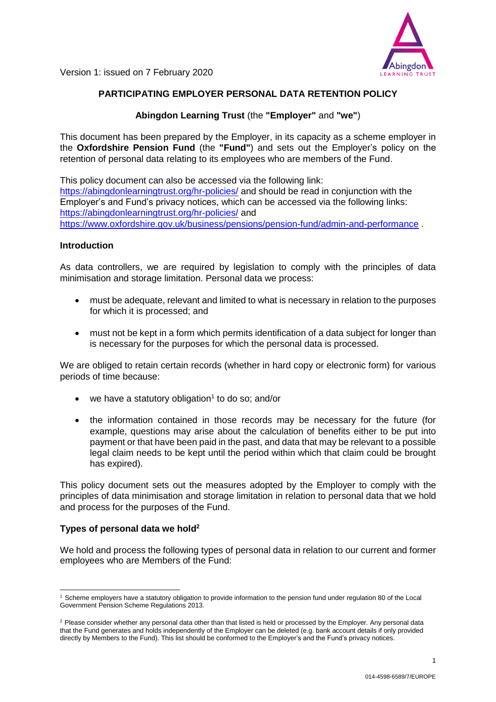

# **PARTICIPATING EMPLOYER PERSONAL DATA RETENTION POLICY**

## **Abingdon Learning Trust** (the **"Employer"** and **"we"**)

This document has been prepared by the Employer, in its capacity as a scheme employer in the **Oxfordshire Pension Fund** (the **"Fund"**) and sets out the Employer's policy on the retention of personal data relating to its employees who are members of the Fund.

This policy document can also be accessed via the following link: <https://abingdonlearningtrust.org/hr-policies/> and should be read in conjunction with the Employer's and Fund's privacy notices, which can be accessed via the following links: <https://abingdonlearningtrust.org/hr-policies/> and <https://www.oxfordshire.gov.uk/business/pensions/pension-fund/admin-and-performance>

#### **Introduction**

As data controllers, we are required by legislation to comply with the principles of data minimisation and storage limitation. Personal data we process:

- must be adequate, relevant and limited to what is necessary in relation to the purposes for which it is processed; and
- must not be kept in a form which permits identification of a data subject for longer than is necessary for the purposes for which the personal data is processed.

We are obliged to retain certain records (whether in hard copy or electronic form) for various periods of time because:

- we have a statutory obligation<sup>1</sup> to do so; and/or
- the information contained in those records may be necessary for the future (for example, questions may arise about the calculation of benefits either to be put into payment or that have been paid in the past, and data that may be relevant to a possible legal claim needs to be kept until the period within which that claim could be brought has expired).

This policy document sets out the measures adopted by the Employer to comply with the principles of data minimisation and storage limitation in relation to personal data that we hold and process for the purposes of the Fund.

## **Types of personal data we hold<sup>2</sup>**

We hold and process the following types of personal data in relation to our current and former employees who are Members of the Fund:

<sup>-</sup><sup>1</sup> Scheme employers have a statutory obligation to provide information to the pension fund under [regulation 80](http://www.lgpsregs.org/schemeregs/lgpsregs2013/timeline.php#r80) of the Local Government Pension Scheme Regulations 2013.

<sup>&</sup>lt;sup>2</sup> Please consider whether any personal data other than that listed is held or processed by the Employer. Any personal data that the Fund generates and holds independently of the Employer can be deleted (e.g. bank account details if only provided directly by Members to the Fund). This list should be conformed to the Employer's and the Fund's privacy notices.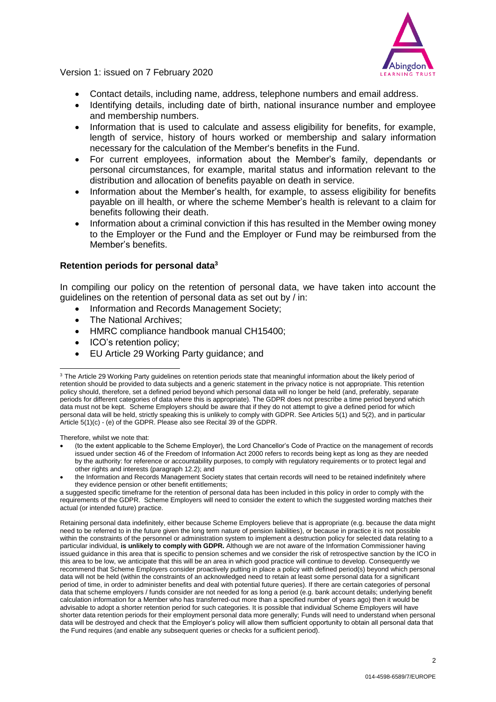

- Contact details, including name, address, telephone numbers and email address.
- Identifying details, including date of birth, national insurance number and employee and membership numbers.
- Information that is used to calculate and assess eligibility for benefits, for example, length of service, history of hours worked or membership and salary information necessary for the calculation of the Member's benefits in the Fund.
- For current employees, information about the Member's family, dependants or personal circumstances, for example, marital status and information relevant to the distribution and allocation of benefits payable on death in service*.*
- Information about the Member's health, for example, to assess eligibility for benefits payable on ill health, or where the scheme Member's health is relevant to a claim for benefits following their death.
- Information about a criminal conviction if this has resulted in the Member owing money to the Employer or the Fund and the Employer or Fund may be reimbursed from the Member's benefits.

#### **Retention periods for personal data<sup>3</sup>**

In compiling our policy on the retention of personal data, we have taken into account the guidelines on the retention of personal data as set out by / in:

- Information and Records Management Society;
- The National Archives;
- HMRC compliance handbook manual CH15400;
- ICO's retention policy;
- EU Article 29 Working Party guidance; and

Therefore, whilst we note that:

-

- (to the extent applicable to the Scheme Employer), the Lord Chancellor's Code of Practice on the management of records issued under section 46 of the Freedom of Information Act 2000 refers to records being kept as long as they are needed by the authority: for reference or accountability purposes, to comply with regulatory requirements or to protect legal and other rights and interests (paragraph 12.2); and
- the Information and Records Management Society states that certain records will need to be retained indefinitely where they evidence pension or other benefit entitlements;

<sup>&</sup>lt;sup>3</sup> The Article 29 Working Party guidelines on retention periods state that meaningful information about the likely period of retention should be provided to data subjects and a generic statement in the privacy notice is not appropriate. This retention policy should, therefore, set a defined period beyond which personal data will no longer be held (and, preferably, separate periods for different categories of data where this is appropriate). The GDPR does not prescribe a time period beyond which data must not be kept. Scheme Employers should be aware that if they do not attempt to give a defined period for which personal data will be held, strictly speaking this is unlikely to comply with GDPR. See Articles 5(1) and 5(2), and in particular Article 5(1)(c) - (e) of the GDPR. Please also see Recital 39 of the GDPR.

a suggested specific timeframe for the retention of personal data has been included in this policy in order to comply with the requirements of the GDPR. Scheme Employers will need to consider the extent to which the suggested wording matches their actual (or intended future) practice.

Retaining personal data indefinitely, either because Scheme Employers believe that is appropriate (e.g. because the data might need to be referred to in the future given the long term nature of pension liabilities), or because in practice it is not possible within the constraints of the personnel or administration system to implement a destruction policy for selected data relating to a particular individual, **is unlikely to comply with GDPR.** Although we are not aware of the Information Commissioner having issued guidance in this area that is specific to pension schemes and we consider the risk of retrospective sanction by the ICO in this area to be low, we anticipate that this will be an area in which good practice will continue to develop. Consequently we recommend that Scheme Employers consider proactively putting in place a policy with defined period(s) beyond which personal data will not be held (within the constraints of an acknowledged need to retain at least some personal data for a significant period of time, in order to administer benefits and deal with potential future queries). If there are certain categories of personal data that scheme employers / funds consider are not needed for as long a period (e.g. bank account details; underlying benefit calculation information for a Member who has transferred-out more than a specified number of years ago) then it would be advisable to adopt a shorter retention period for such categories. It is possible that individual Scheme Employers will have shorter data retention periods for their employment personal data more generally; Funds will need to understand when personal data will be destroyed and check that the Employer's policy will allow them sufficient opportunity to obtain all personal data that the Fund requires (and enable any subsequent queries or checks for a sufficient period).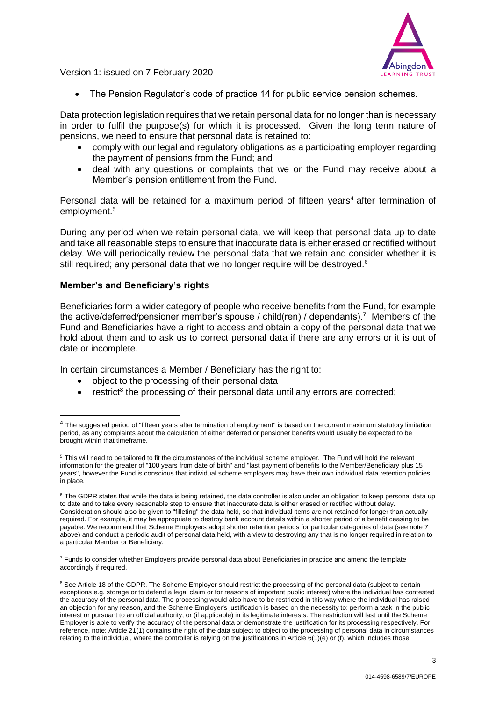

The Pension Regulator's code of practice 14 for public service pension schemes.

Data protection legislation requires that we retain personal data for no longer than is necessary in order to fulfil the purpose(s) for which it is processed. Given the long term nature of pensions, we need to ensure that personal data is retained to:

- comply with our legal and regulatory obligations as a participating employer regarding the payment of pensions from the Fund; and
- deal with any questions or complaints that we or the Fund may receive about a Member's pension entitlement from the Fund.

Personal data will be retained for a maximum period of fifteen years<sup>4</sup> after termination of employment. 5

During any period when we retain personal data, we will keep that personal data up to date and take all reasonable steps to ensure that inaccurate data is either erased or rectified without delay. We will periodically review the personal data that we retain and consider whether it is still required; any personal data that we no longer require will be destroyed. $6$ 

## **Member's and Beneficiary's rights**

-

Beneficiaries form a wider category of people who receive benefits from the Fund, for example the active/deferred/pensioner member's spouse / child(ren) / dependants).<sup>7</sup> Members of the Fund and Beneficiaries have a right to access and obtain a copy of the personal data that we hold about them and to ask us to correct personal data if there are any errors or it is out of date or incomplete.

In certain circumstances a Member / Beneficiary has the right to:

- object to the processing of their personal data
- $\bullet$  restrict<sup>8</sup> the processing of their personal data until any errors are corrected;

 $7$  Funds to consider whether Employers provide personal data about Beneficiaries in practice and amend the template accordingly if required.

<sup>&</sup>lt;sup>4</sup> The suggested period of "fifteen years after termination of employment" is based on the current maximum statutory limitation period, as any complaints about the calculation of either deferred or pensioner benefits would usually be expected to be brought within that timeframe.

<sup>5</sup> This will need to be tailored to fit the circumstances of the individual scheme employer. The Fund will hold the relevant information for the greater of "100 years from date of birth" and "last payment of benefits to the Member/Beneficiary plus 15 years", however the Fund is conscious that individual scheme employers may have their own individual data retention policies in place.

<sup>&</sup>lt;sup>6</sup> The GDPR states that while the data is being retained, the data controller is also under an obligation to keep personal data up to date and to take every reasonable step to ensure that inaccurate data is either erased or rectified without delay. Consideration should also be given to "filleting" the data held, so that individual items are not retained for longer than actually required. For example, it may be appropriate to destroy bank account details within a shorter period of a benefit ceasing to be payable. We recommend that Scheme Employers adopt shorter retention periods for particular categories of data (see note 7 above) and conduct a periodic audit of personal data held, with a view to destroying any that is no longer required in relation to a particular Member or Beneficiary.

<sup>&</sup>lt;sup>8</sup> See Article 18 of the GDPR. The Scheme Employer should restrict the processing of the personal data (subject to certain exceptions e.g. storage or to defend a legal claim or for reasons of important public interest) where the individual has contested the accuracy of the personal data. The processing would also have to be restricted in this way where the individual has raised an objection for any reason, and the Scheme Employer's justification is based on the necessity to: perform a task in the public interest or pursuant to an official authority; or (if applicable) in its legitimate interests. The restriction will last until the Scheme Employer is able to verify the accuracy of the personal data or demonstrate the justification for its processing respectively. For reference, note: Article 21(1) contains the right of the data subject to object to the processing of personal data in circumstances relating to the individual, where the controller is relying on the justifications in Article 6(1)(e) or (f), which includes those